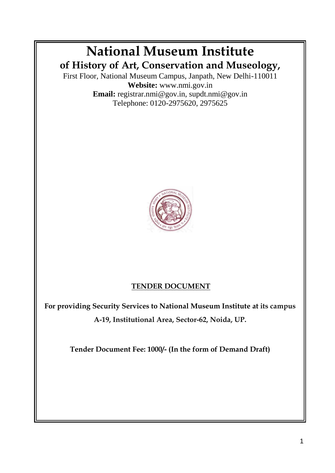# **National Museum Institute of History of Art, Conservation and Museology,**

First Floor, National Museum Campus, Janpath, New Delhi-110011 **Website:** www.nmi.gov.in **Email:** registrar.nmi@gov.in, supdt.nmi@gov.in Telephone: 0120-2975620, 2975625



## **TENDER DOCUMENT**

**For providing Security Services to National Museum Institute at its campus A-19, Institutional Area, Sector-62, Noida, UP.**

**Tender Document Fee: 1000/- (In the form of Demand Draft)**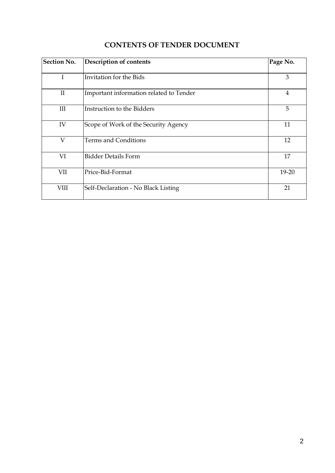| <b>Section No.</b> | <b>Description of contents</b>          | Page No.       |
|--------------------|-----------------------------------------|----------------|
| I                  | Invitation for the Bids                 | 3              |
| $\rm II$           | Important information related to Tender | $\overline{4}$ |
| Ш                  | Instruction to the Bidders              | 5              |
| IV                 | Scope of Work of the Security Agency    | 11             |
| V                  | Terms and Conditions                    | 12             |
| VI                 | <b>Bidder Details Form</b>              | 17             |
| VII                | Price-Bid-Format                        | 19-20          |
| <b>VIII</b>        | Self-Declaration - No Black Listing     | 21             |

## **CONTENTS OF TENDER DOCUMENT**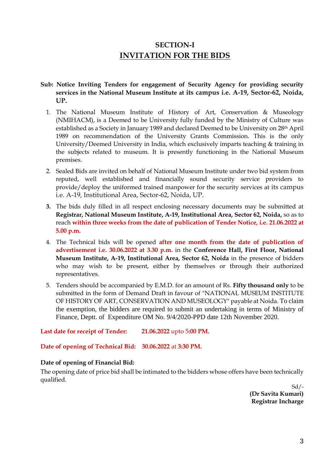## **SECTION-I INVITATION FOR THE BIDS**

#### **Sub: Notice Inviting Tenders for engagement of Security Agency for providing security services in the National Museum Institute at its campus i.e. A-19, Sector-62, Noida, UP.**

- 1. The National Museum Institute of History of Art, Conservation & Museology (NMIHACM), is a Deemed to be University fully funded by the Ministry of Culture was established as a Society in January 1989 and declared Deemed to be University on 28th April 1989 on recommendation of the University Grants Commission. This is the only University/Deemed University in India, which exclusively imparts teaching & training in the subjects related to museum. It is presently functioning in the National Museum premises.
- 2. Sealed Bids are invited on behalf of National Museum Institute under two bid system from reputed, well established and financially sound security service providers to provide/deploy the uniformed trained manpower for the security services at its campus i.e. A-19, Institutional Area, Sector-62, Noida, UP.
- **3.** The bids duly filled in all respect enclosing necessary documents may be submitted at **Registrar, National Museum Institute, A-19, Institutional Area, Sector 62, Noida,** so as to reach **within three weeks from the date of publication of Tender Notice, i.e. 21.06.2022 at 5.00 p.m.**
- 4. The Technical bids will be opened **after one month from the date of publication of advertisement i.e. 30.06.2022 at 3.30 p.m.** in the **Conference Hall, First Floor, National Museum Institute, A-19, Institutional Area, Sector 62, Noida** in the presence of bidders who may wish to be present, either by themselves or through their authorized representatives.
- 5. Tenders should be accompanied by E.M.D. for an amount of Rs. **Fifty thousand only** to be submitted in the form of Demand Draft in favour of "NATIONAL MUSEUM INSTITUTE OF HISTORY OF ART, CONSERVATION AND MUSEOLOGY" payable at Noida. To claim the exemption, the bidders are required to submit an undertaking in terms of Ministry of Finance, Deptt. of Expenditure OM No. 9/4/2020-PPD date 12th November 2020.

**Last date for receipt of Tender: 21.06.2022** upto 5**:00 PM.**

**Date of opening of Technical Bid: 30.06.2022** at **3:30 PM.**

#### **Date of opening of Financial Bid:**

The opening date of price bid shall be intimated to the bidders whose offers have been technically qualified.

 $Sd$  /-**(Dr Savita Kumari) Registrar Incharge**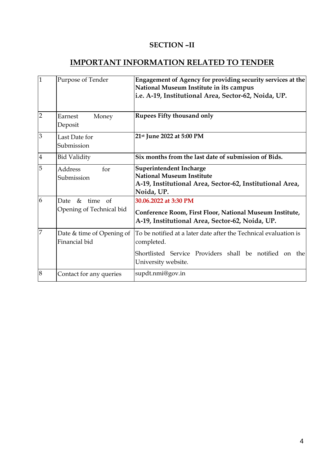### **SECTION –II**

## **IMPORTANT INFORMATION RELATED TO TENDER**

| $\overline{1}$ | Purpose of Tender                               | Engagement of Agency for providing security services at the<br>National Museum Institute in its campus<br>i.e. A-19, Institutional Area, Sector-62, Noida, UP.  |  |
|----------------|-------------------------------------------------|-----------------------------------------------------------------------------------------------------------------------------------------------------------------|--|
| $\overline{2}$ | Earnest<br>Money<br>Deposit                     | Rupees Fifty thousand only                                                                                                                                      |  |
| 3              | Last Date for<br>Submission                     | 21st June 2022 at 5:00 PM                                                                                                                                       |  |
| $\overline{4}$ | <b>Bid Validity</b>                             | Six months from the last date of submission of Bids.                                                                                                            |  |
| 5              | <b>Address</b><br>for<br>Submission             | Superintendent Incharge<br><b>National Museum Institute</b><br>A-19, Institutional Area, Sector-62, Institutional Area,<br>Noida, UP.                           |  |
| 6              | Date<br>$&$ time of<br>Opening of Technical bid | 30.06.2022 at 3:30 PM<br>Conference Room, First Floor, National Museum Institute,<br>A-19, Institutional Area, Sector-62, Noida, UP.                            |  |
| $\overline{7}$ | Date & time of Opening of<br>Financial bid      | To be notified at a later date after the Technical evaluation is<br>completed.<br>Shortlisted Service Providers shall be notified on the<br>University website. |  |
| 8              | Contact for any queries                         | supdt.nmi@gov.in                                                                                                                                                |  |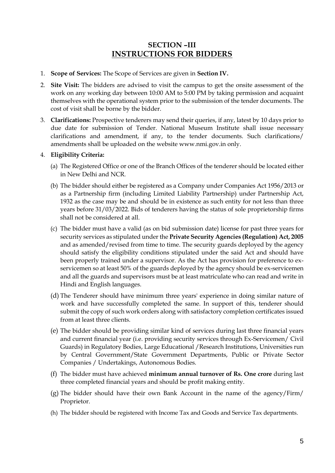### **SECTION –III INSTRUCTIONS FOR BIDDERS**

- 1. **Scope of Services:** The Scope of Services are given in **Section IV.**
- 2. **Site Visit:** The bidders are advised to visit the campus to get the onsite assessment of the work on any working day between 10:00 AM to 5:00 PM by taking permission and acquaint themselves with the operational system prior to the submission of the tender documents. The cost of visit shall be borne by the bidder.
- 3. **Clarifications:** Prospective tenderers may send their queries, if any, latest by 10 days prior to due date for submission of Tender. National Museum Institute shall issue necessary clarifications and amendment, if any, to the tender documents. Such clarifications/ amendments shall be uploaded on the website www.nmi.gov.in only.

#### 4. **Eligibility Criteria:**

- (a) The Registered Office or one of the Branch Offices of the tenderer should be located either in New Delhi and NCR.
- (b) The bidder should either be registered as a Company under Companies Act 1956/2013 or as a Partnership firm (including Limited Liability Partnership) under Partnership Act, 1932 as the case may be and should be in existence as such entity for not less than three years before 31/03/2022. Bids of tenderers having the status of sole proprietorship firms shall not be considered at all.
- (c) The bidder must have a valid (as on bid submission date) license for past three years for security services as stipulated under the **Private Security Agencies (Regulation) Act, 2005**  and as amended/revised from time to time. The security guards deployed by the agency should satisfy the eligibility conditions stipulated under the said Act and should have been properly trained under a supervisor. As the Act has provision for preference to exservicemen so at least 50% of the guards deployed by the agency should be ex-servicemen and all the guards and supervisors must be at least matriculate who can read and write in Hindi and English languages.
- (d) The Tenderer should have minimum three years' experience in doing similar nature of work and have successfully completed the same. In support of this, tenderer should submit the copy of such work orders along with satisfactory completion certificates issued from at least three clients.
- (e) The bidder should be providing similar kind of services during last three financial years and current financial year (i.e. providing security services through Ex-Servicemen/ Civil Guards) in Regulatory Bodies, Large Educational /Research Institutions, Universities run by Central Government/State Government Departments, Public or Private Sector Companies / Undertakings, Autonomous Bodies.
- (f) The bidder must have achieved **minimum annual turnover of Rs. One crore** during last three completed financial years and should be profit making entity.
- (g) The bidder should have their own Bank Account in the name of the agency/Firm/ Proprietor.
- (h) The bidder should be registered with Income Tax and Goods and Service Tax departments.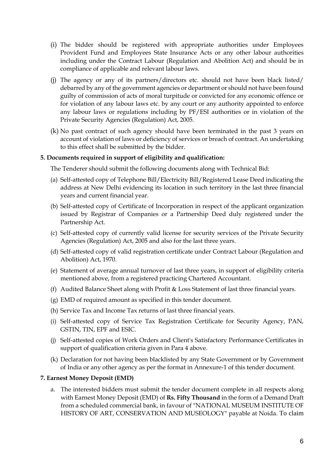- (i) The bidder should be registered with appropriate authorities under Employees Provident Fund and Employees State Insurance Acts or any other labour authorities including under the Contract Labour (Regulation and Abolition Act) and should be in compliance of applicable and relevant labour laws.
- (j) The agency or any of its partners/directors etc. should not have been black listed/ debarred by any of the government agencies or department or should not have been found guilty of commission of acts of moral turpitude or convicted for any economic offence or for violation of any labour laws etc. by any court or any authority appointed to enforce any labour laws or regulations including by PF/ESI authorities or in violation of the Private Security Agencies (Regulation) Act, 2005.
- (k) No past contract of such agency should have been terminated in the past 3 years on account of violation of laws or deficiency of services or breach of contract. An undertaking to this effect shall be submitted by the bidder.

#### **5. Documents required in support of eligibility and qualification:**

The Tenderer should submit the following documents along with Technical Bid:

- (a) Self-attested copy of Telephone Bill/Electricity Bill/Registered Lease Deed indicating the address at New Delhi evidencing its location in such territory in the last three financial years and current financial year.
- (b) Self-attested copy of Certificate of Incorporation in respect of the applicant organization issued by Registrar of Companies or a Partnership Deed duly registered under the Partnership Act.
- (c) Self-attested copy of currently valid license for security services of the Private Security Agencies (Regulation) Act, 2005 and also for the last three years.
- (d) Self-attested copy of valid registration certificate under Contract Labour (Regulation and Abolition) Act, 1970.
- (e) Statement of average annual turnover of last three years, in support of eligibility criteria mentioned above, from a registered practicing Chartered Accountant.
- (f) Audited Balance Sheet along with Profit & Loss Statement of last three financial years.
- (g) EMD of required amount as specified in this tender document.
- (h) Service Tax and Income Tax returns of last three financial years.
- (i) Self-attested copy of Service Tax Registration Certificate for Security Agency, PAN, GSTIN, TIN, EPF and ESIC.
- (j) Self-attested copies of Work Orders and Client's Satisfactory Performance Certificates in support of qualification criteria given in Para 4 above.
- (k) Declaration for not having been blacklisted by any State Government or by Government of India or any other agency as per the format in Annexure-1 of this tender document.

#### **7. Earnest Money Deposit (EMD)**

a. The interested bidders must submit the tender document complete in all respects along with Earnest Money Deposit (EMD) of **Rs. Fifty Thousand** in the form of a Demand Draft from a scheduled commercial bank, in favour of "NATIONAL MUSEUM INSTITUTE OF HISTORY OF ART, CONSERVATION AND MUSEOLOGY" payable at Noida. To claim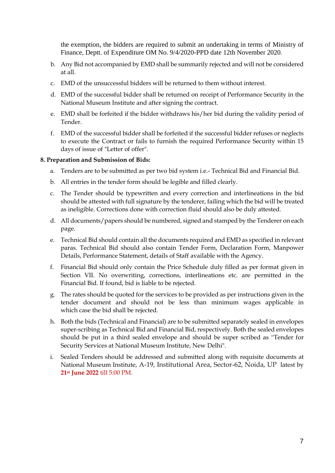the exemption, the bidders are required to submit an undertaking in terms of Ministry of Finance, Deptt. of Expenditure OM No. 9/4/2020-PPD date 12th November 2020.

- b. Any Bid not accompanied by EMD shall be summarily rejected and will not be considered at all.
- c. EMD of the unsuccessful bidders will be returned to them without interest.
- d. EMD of the successful bidder shall be returned on receipt of Performance Security in the National Museum Institute and after signing the contract.
- e. EMD shall be forfeited if the bidder withdraws his/her bid during the validity period of Tender.
- f. EMD of the successful bidder shall be forfeited if the successful bidder refuses or neglects to execute the Contract or fails to furnish the required Performance Security within 15 days of issue of "Letter of offer".

#### **8. Preparation and Submission of Bids:**

- a. Tenders are to be submitted as per two bid system i.e.- Technical Bid and Financial Bid.
- b. All entries in the tender form should be legible and filled clearly.
- c. The Tender should be typewritten and every correction and interlineations in the bid should be attested with full signature by the tenderer, failing which the bid will be treated as ineligible. Corrections done with correction fluid should also be duly attested.
- d. All documents/papers should be numbered, signed and stamped by the Tenderer on each page.
- e. Technical Bid should contain all the documents required and EMD as specified in relevant paras. Technical Bid should also contain Tender Form, Declaration Form, Manpower Details, Performance Statement, details of Staff available with the Agency.
- f. Financial Bid should only contain the Price Schedule duly filled as per format given in Section VII. No overwriting, corrections, interlineations etc. are permitted in the Financial Bid. If found, bid is liable to be rejected.
- g. The rates should be quoted for the services to be provided as per instructions given in the tender document and should not be less than minimum wages applicable in which case the bid shall be rejected.
- h. Both the bids (Technical and Financial) are to be submitted separately sealed in envelopes super-scribing as Technical Bid and Financial Bid, respectively. Both the sealed envelopes should be put in a third sealed envelope and should be super scribed as ''Tender for Security Services at National Museum Institute, New Delhi".
- i. Sealed Tenders should be addressed and submitted along with requisite documents at National Museum Institute, A-19, Institutional Area, Sector-62, Noida, UP latest by **21st June 2022** till 5:00 PM.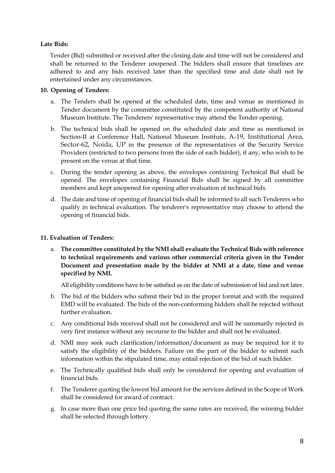#### **Late Bids:**

Tender (Bid) submitted or received after the closing date and time will not be considered and shall be returned to the Tenderer unopened. The bidders shall ensure that timelines are adhered to and any bids received later than the specified time and date shall not be entertained under any circumstances.

#### **10. Opening of Tenders:**

- a. The Tenders shall be opened at the scheduled date, time and venue as mentioned in Tender document by the committee constituted by the competent authority of National Museum Institute. The Tenderers' representative may attend the Tender opening.
- b. The technical bids shall be opened on the scheduled date and time as mentioned in Section-II at Conference Hall, National Museum Institute, A-19, Institutional Area, Sector-62, Noida, UP in the presence of the representatives of the Security Service Providers (restricted to two persons from the side of each bidder), if any, who wish to be present on the venue at that time.
- c. During the tender opening as above, the envelopes containing Technical Bid shall be opened. The envelopes containing Financial Bids shall be signed by all committee members and kept unopened for opening after evaluation of technical bids.
- d. The date and time of opening of financial bids shall be informed to all such Tenderers who qualify in technical evaluation. The tenderer's representative may choose to attend the opening of financial bids.

#### **11. Evaluation of Tenders:**

a. **The committee constituted by the NMI shall evaluate the Technical Bids with reference to technical requirements and various other commercial criteria given in the Tender Document and presentation made by the bidder at NMI at a date, time and venue specified by NMI.**

All eligibility conditions have to be satisfied as on the date of submission of bid and not later.

- b. The bid of the bidders who submit their bid in the proper format and with the required EMD will be evaluated. The bids of the non-conforming bidders shall be rejected without further evaluation.
- c. Any conditional bids received shall not be considered and will be summarily rejected in very first instance without any recourse to the bidder and shall not be evaluated.
- d. NMI may seek such clarification/information/document as may be required for it to satisfy the eligibility of the bidders. Failure on the part of the bidder to submit such information within the stipulated time, may entail rejection of the bid of such bidder.
- e. The Technically qualified bids shall only be considered for opening and evaluation of financial bids.
- f. The Tenderer quoting the lowest bid amount for the services defined in the Scope of Work shall be considered for award of contract.
- g. In case more than one price bid quoting the same rates are received, the winning bidder shall be selected through lottery.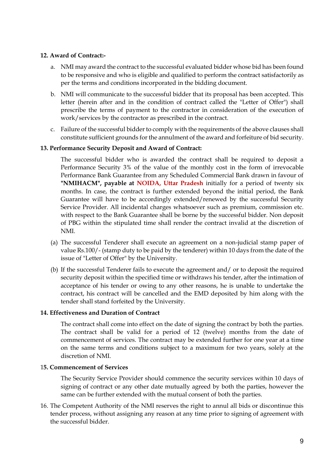#### **12. Award of Contract:-**

- a. NMI may award the contract to the successful evaluated bidder whose bid has been found to be responsive and who is eligible and qualified to perform the contract satisfactorily as per the terms and conditions incorporated in the bidding document.
- b. NMI will communicate to the successful bidder that its proposal has been accepted. This letter (herein after and in the condition of contract called the "Letter of Offer") shall prescribe the terms of payment to the contractor in consideration of the execution of work/services by the contractor as prescribed in the contract.
- c. Failure of the successful bidder to comply with the requirements of the above clauses shall constitute sufficient grounds for the annulment of the award and forfeiture of bid security.

#### **13. Performance Security Deposit and Award of Contract:**

The successful bidder who is awarded the contract shall be required to deposit a Performance Security 3% of the value of the monthly cost in the form of irrevocable Performance Bank Guarantee from any Scheduled Commercial Bank drawn in favour of **"NMIHACM", payable at NOIDA, Uttar Pradesh** initially for a period of twenty six months. In case, the contract is further extended beyond the initial period, the Bank Guarantee will have to be accordingly extended/renewed by the successful Security Service Provider. All incidental charges whatsoever such as premium, commission etc. with respect to the Bank Guarantee shall be borne by the successful bidder. Non deposit of PBG within the stipulated time shall render the contract invalid at the discretion of NMI.

- (a) The successful Tenderer shall execute an agreement on a non-judicial stamp paper of value Rs.100/- (stamp duty to be paid by the tenderer) within 10 days from the date of the issue of "Letter of Offer" by the University.
- (b) If the successful Tenderer fails to execute the agreement and/ or to deposit the required security deposit within the specified time or withdraws his tender, after the intimation of acceptance of his tender or owing to any other reasons, he is unable to undertake the contract, his contract will be cancelled and the EMD deposited by him along with the tender shall stand forfeited by the University.

#### **14. Effectiveness and Duration of Contract**

The contract shall come into effect on the date of signing the contract by both the parties. The contract shall be valid for a period of 12 (twelve) months from the date of commencement of services. The contract may be extended further for one year at a time on the same terms and conditions subject to a maximum for two years, solely at the discretion of NMI.

#### 1**5. Commencement of Services**

The Security Service Provider should commence the security services within 10 days of signing of contract or any other date mutually agreed by both the parties, however the same can be further extended with the mutual consent of both the parties.

16. The Competent Authority of the NMI reserves the right to annul all bids or discontinue this tender process, without assigning any reason at any time prior to signing of agreement with the successful bidder.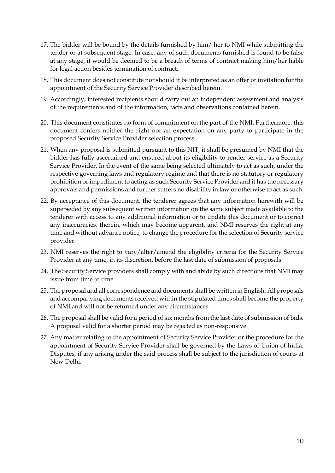- 17. The bidder will be bound by the details furnished by him/ her to NMI while submitting the tender or at subsequent stage. In case, any of such documents furnished is found to be false at any stage, it would be deemed to be a breach of terms of contract making him/her liable for legal action besides termination of contract.
- 18. This document does not constitute nor should it be interpreted as an offer or invitation for the appointment of the Security Service Provider described herein.
- 19. Accordingly, interested recipients should carry out an independent assessment and analysis of the requirements and of the information, facts and observations contained herein.
- 20. This document constitutes no form of commitment on the part of the NMI. Furthermore, this document confers neither the right nor an expectation on any party to participate in the proposed Security Service Provider selection process.
- 21. When any proposal is submitted pursuant to this NIT, it shall be presumed by NMI that the bidder has fully ascertained and ensured about its eligibility to render service as a Security Service Provider. In the event of the same being selected ultimately to act as such, under the respective governing laws and regulatory regime and that there is no statutory or regulatory prohibition or impediment to acting as such Security Service Provider and it has the necessary approvals and permissions and further suffers no disability in law or otherwise to act as such.
- 22. By acceptance of this document, the tenderer agrees that any information herewith will be superseded by any subsequent written information on the same subject made available to the tenderer with access to any additional information or to update this document or to correct any inaccuracies, therein, which may become apparent, and NMI reserves the right at any time and without advance notice, to change the procedure for the selection of Security service provider.
- 23. NMI reserves the right to vary/alter/amend the eligibility criteria for the Security Service Provider at any time, in its discretion, before the last date of submission of proposals.
- 24. The Security Service providers shall comply with and abide by such directions that NMI may issue from time to time.
- 25. The proposal and all correspondence and documents shall be written in English. All proposals and accompanying documents received within the stipulated times shall become the property of NMI and will not be returned under any circumstances.
- 26. The proposal shall be valid for a period of six months from the last date of submission of bids. A proposal valid for a shorter period may be rejected as non-responsive.
- 27. Any matter relating to the appointment of Security Service Provider or the procedure for the appointment of Security Service Provider shall be governed by the Laws of Union of India. Disputes, if any arising under the said process shall be subject to the jurisdiction of courts at New Delhi.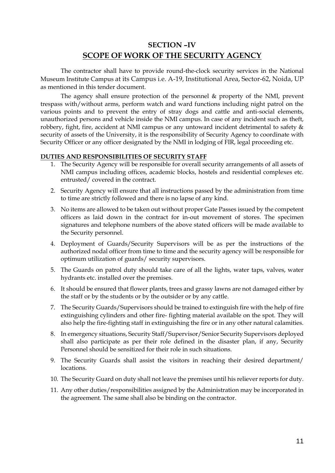## **SECTION –IV SCOPE OF WORK OF THE SECURITY AGENCY**

The contractor shall have to provide round-the-clock security services in the National Museum Institute Campus at its Campus i.e. A-19, Institutional Area, Sector-62, Noida, UP as mentioned in this tender document.

The agency shall ensure protection of the personnel & property of the NMI, prevent trespass with/without arms, perform watch and ward functions including night patrol on the various points and to prevent the entry of stray dogs and cattle and anti-social elements, unauthorized persons and vehicle inside the NMI campus. In case of any incident such as theft, robbery, fight, fire, accident at NMI campus or any untoward incident detrimental to safety & security of assets of the University, it is the responsibility of Security Agency to coordinate with Security Officer or any officer designated by the NMI in lodging of FIR, legal proceeding etc.

#### **DUTIES AND RESPONSIBILITIES OF SECURITY STAFF**

- 1. The Security Agency will be responsible for overall security arrangements of all assets of NMI campus including offices, academic blocks, hostels and residential complexes etc. entrusted/ covered in the contract.
- 2. Security Agency will ensure that all instructions passed by the administration from time to time are strictly followed and there is no lapse of any kind.
- 3. No items are allowed to be taken out without proper Gate Passes issued by the competent officers as laid down in the contract for in-out movement of stores. The specimen signatures and telephone numbers of the above stated officers will be made available to the Security personnel.
- 4. Deployment of Guards/Security Supervisors will be as per the instructions of the authorized nodal officer from time to time and the security agency will be responsible for optimum utilization of guards/ security supervisors.
- 5. The Guards on patrol duty should take care of all the lights, water taps, valves, water hydrants etc. installed over the premises.
- 6. It should be ensured that flower plants, trees and grassy lawns are not damaged either by the staff or by the students or by the outsider or by any cattle.
- 7. The Security Guards/Supervisors should be trained to extinguish fire with the help of fire extinguishing cylinders and other fire- fighting material available on the spot. They will also help the fire-fighting staff in extinguishing the fire or in any other natural calamities.
- 8. In emergency situations, Security Staff/Supervisor/Senior Security Supervisors deployed shall also participate as per their role defined in the disaster plan, if any, Security Personnel should be sensitized for their role in such situations.
- 9. The Security Guards shall assist the visitors in reaching their desired department/ locations.
- 10. The Security Guard on duty shall not leave the premises until his reliever reports for duty.
- 11. Any other duties/responsibilities assigned by the Administration may be incorporated in the agreement. The same shall also be binding on the contractor.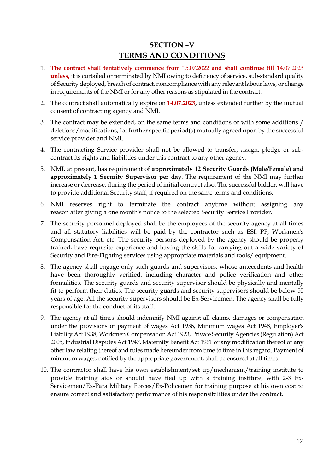## **SECTION –V TERMS AND CONDITIONS**

- 1. **The contract shall tentatively commence from** 15.07.2022 **and shall continue till** 14.07.2023 **unless,** it is curtailed or terminated by NMI owing to deficiency of service, sub-standard quality of Security deployed, breach of contract, noncompliance with any relevant labour laws, or change in requirements of the NMI or for any other reasons as stipulated in the contract.
- 2. The contract shall automatically expire on **14.07.2023,** unless extended further by the mutual consent of contracting agency and NMI.
- 3. The contract may be extended, on the same terms and conditions or with some additions / deletions/modifications, for further specific period(s) mutually agreed upon by the successful service provider and NMI.
- 4. The contracting Service provider shall not be allowed to transfer, assign, pledge or subcontract its rights and liabilities under this contract to any other agency.
- 5. NMI, at present, has requirement of **approximately 12 Security Guards (Male/Female) and approximately 1 Security Supervisor per day**. The requirement of the NMI may further increase or decrease, during the period of initial contract also. The successful bidder, will have to provide additional Security staff, if required on the same terms and conditions.
- 6. NMI reserves right to terminate the contract anytime without assigning any reason after giving a one month's notice to the selected Security Service Provider.
- 7. The security personnel deployed shall be the employees of the security agency at all times and all statutory liabilities will be paid by the contractor such as ESI, PF, Workmen's Compensation Act, etc. The security persons deployed by the agency should be properly trained, have requisite experience and having the skills for carrying out a wide variety of Security and Fire-Fighting services using appropriate materials and tools/ equipment.
- 8. The agency shall engage only such guards and supervisors, whose antecedents and health have been thoroughly verified, including character and police verification and other formalities. The security guards and security supervisor should be physically and mentally fit to perform their duties. The security guards and security supervisors should be below 55 years of age. All the security supervisors should be Ex-Servicemen. The agency shall be fully responsible for the conduct of its staff.
- 9. The agency at all times should indemnify NMI against all claims, damages or compensation under the provisions of payment of wages Act 1936, Minimum wages Act 1948, Employer's Liability Act 1938, Workmen Compensation Act 1923, Private Security Agencies (Regulation) Act 2005, Industrial Disputes Act 1947, Maternity Benefit Act 1961 or any modification thereof or any other law relating thereof and rules made hereunder from time to time in this regard. Payment of minimum wages, notified by the appropriate government, shall be ensured at all times.
- 10. The contractor shall have his own establishment/set up/mechanism/training institute to provide training aids or should have tied up with a training institute, with 2-3 Ex-Servicemen/Ex-Para Military Forces/Ex-Policemen for training purpose at his own cost to ensure correct and satisfactory performance of his responsibilities under the contract.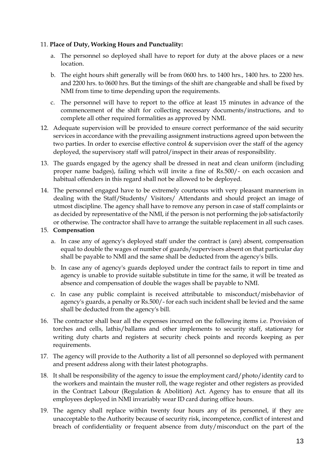#### 11. **Place of Duty, Working Hours and Punctuality:**

- a. The personnel so deployed shall have to report for duty at the above places or a new location.
- b. The eight hours shift generally will be from 0600 hrs. to 1400 hrs., 1400 hrs. to 2200 hrs. and 2200 hrs. to 0600 hrs. But the timings of the shift are changeable and shall be fixed by NMI from time to time depending upon the requirements.
- c. The personnel will have to report to the office at least 15 minutes in advance of the commencement of the shift for collecting necessary documents/instructions, and to complete all other required formalities as approved by NMI.
- 12. Adequate supervision will be provided to ensure correct performance of the said security services in accordance with the prevailing assignment instructions agreed upon between the two parties. In order to exercise effective control & supervision over the staff of the agency deployed, the supervisory staff will patrol/inspect in their areas of responsibility.
- 13. The guards engaged by the agency shall be dressed in neat and clean uniform (including proper name badges), failing which will invite a fine of Rs.500/- on each occasion and habitual offenders in this regard shall not be allowed to be deployed.
- 14. The personnel engaged have to be extremely courteous with very pleasant mannerism in dealing with the Staff/Students/ Visitors/ Attendants and should project an image of utmost discipline. The agency shall have to remove any person in case of staff complaints or as decided by representative of the NMI, if the person is not performing the job satisfactorily or otherwise. The contractor shall have to arrange the suitable replacement in all such cases.

#### 15. **Compensation**

- a. In case any of agency's deployed staff under the contract is (are) absent, compensation equal to double the wages of number of guards/supervisors absent on that particular day shall be payable to NMI and the same shall be deducted from the agency's bills.
- b. In case any of agency's guards deployed under the contract fails to report in time and agency is unable to provide suitable substitute in time for the same, it will be treated as absence and compensation of double the wages shall be payable to NMI.
- c. In case any public complaint is received attributable to misconduct/misbehavior of agency's guards, a penalty or Rs.500/- for each such incident shall be levied and the same shall be deducted from the agency's bill.
- 16. The contractor shall bear all the expenses incurred on the following items i.e. Provision of torches and cells, lathis/ballams and other implements to security staff, stationary for writing duty charts and registers at security check points and records keeping as per requirements.
- 17. The agency will provide to the Authority a list of all personnel so deployed with permanent and present address along with their latest photographs.
- 18. It shall be responsibility of the agency to issue the employment card/photo/identity card to the workers and maintain the muster roll, the wage register and other registers as provided in the Contract Labour (Regulation & Abolition) Act. Agency has to ensure that all its employees deployed in NMI invariably wear ID card during office hours.
- 19. The agency shall replace within twenty four hours any of its personnel, if they are unacceptable to the Authority because of security risk, incompetence, conflict of interest and breach of confidentiality or frequent absence from duty/misconduct on the part of the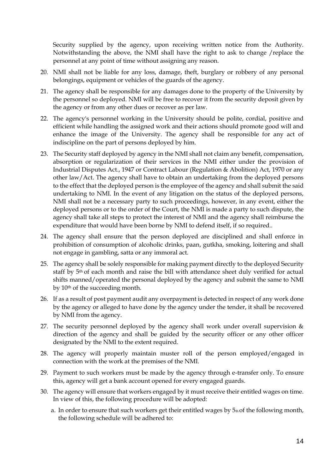Security supplied by the agency, upon receiving written notice from the Authority. Notwithstanding the above, the NMI shall have the right to ask to change /replace the personnel at any point of time without assigning any reason.

- 20. NMI shall not be liable for any loss, damage, theft, burglary or robbery of any personal belongings, equipment or vehicles of the guards of the agency.
- 21. The agency shall be responsible for any damages done to the property of the University by the personnel so deployed. NMI will be free to recover it from the security deposit given by the agency or from any other dues or recover as per law.
- 22. The agency's personnel working in the University should be polite, cordial, positive and efficient while handling the assigned work and their actions should promote good will and enhance the image of the University. The agency shall be responsible for any act of indiscipline on the part of persons deployed by him.
- 23. The Security staff deployed by agency in the NMI shall not claim any benefit, compensation, absorption or regularization of their services in the NMI either under the provision of Industrial Disputes Act., 1947 or Contract Labour (Regulation & Abolition) Act, 1970 or any other law/Act. The agency shall have to obtain an undertaking from the deployed persons to the effect that the deployed person is the employee of the agency and shall submit the said undertaking to NMI. In the event of any litigation on the status of the deployed persons, NMI shall not be a necessary party to such proceedings, however, in any event, either the deployed persons or to the order of the Court, the NMI is made a party to such dispute, the agency shall take all steps to protect the interest of NMI and the agency shall reimburse the expenditure that would have been borne by NMI to defend itself, if so required..
- 24. The agency shall ensure that the person deployed are disciplined and shall enforce in prohibition of consumption of alcoholic drinks, paan, gutkha, smoking, loitering and shall not engage in gambling, satta or any immoral act.
- 25. The agency shall be solely responsible for making payment directly to the deployed Security staff by 5<sup>th</sup> of each month and raise the bill with attendance sheet duly verified for actual shifts manned/operated the personal deployed by the agency and submit the same to NMI by 10th of the succeeding month.
- 26. If as a result of post payment audit any overpayment is detected in respect of any work done by the agency or alleged to have done by the agency under the tender, it shall be recovered by NMI from the agency.
- 27. The security personnel deployed by the agency shall work under overall supervision  $\&$ direction of the agency and shall be guided by the security officer or any other officer designated by the NMI to the extent required.
- 28. The agency will properly maintain muster roll of the person employed/engaged in connection with the work at the premises of the NMI.
- 29. Payment to such workers must be made by the agency through e-transfer only. To ensure this, agency will get a bank account opened for every engaged guards.
- 30. The agency will ensure that workers engaged by it must receive their entitled wages on time. In view of this, the following procedure will be adopted:
	- a. In order to ensure that such workers get their entitled wages by 5th of the following month, the following schedule will be adhered to: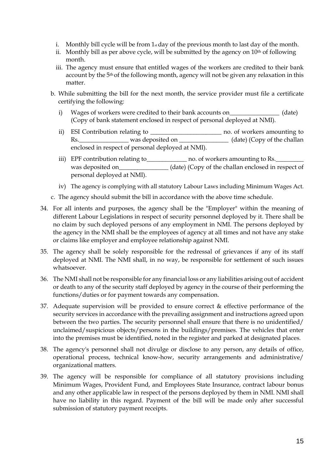- i. Monthly bill cycle will be from  $1<sub>st</sub>$  day of the previous month to last day of the month.
- ii. Monthly bill as per above cycle, will be submitted by the agency on  $10<sup>th</sup>$  of following month.
- iii. The agency must ensure that entitled wages of the workers are credited to their bank account by the 5<sup>th</sup> of the following month, agency will not be given any relaxation in this matter.
- b. While submitting the bill for the next month, the service provider must file a certificate certifying the following:
	- i) Wages of workers were credited to their bank accounts on\_\_\_\_\_\_\_\_\_\_\_\_\_\_\_\_\_ (date) (Copy of bank statement enclosed in respect of personal deployed at NMI).
	- ii) ESI Contribution relating to \_\_\_\_\_\_\_\_\_\_\_\_\_\_\_\_\_\_\_\_\_\_\_ no. of workers amounting to Rs.\_\_\_\_\_\_\_\_\_\_\_\_\_\_\_\_\_\_\_\_ was deposited on \_\_\_\_\_\_\_\_\_\_\_\_\_\_\_\_\_\_\_\_\_\_ (date) (Copy of the challan enclosed in respect of personal deployed at NMI).
	- iii) EPF contribution relating to \_\_\_\_\_\_\_\_\_\_\_\_\_\_ no. of workers amounting to Rs. was deposited on\_\_\_\_\_\_\_\_\_\_\_\_\_\_\_ (date) (Copy of the challan enclosed in respect of personal deployed at NMI).
	- iv) The agency is complying with all statutory Labour Laws including Minimum Wages Act.
- c. The agency should submit the bill in accordance with the above time schedule.
- 34. For all intents and purposes, the agency shall be the "Employer" within the meaning of different Labour Legislations in respect of security personnel deployed by it. There shall be no claim by such deployed persons of any employment in NMI. The persons deployed by the agency in the NMI shall be the employees of agency at all times and not have any stake or claims like employer and employee relationship against NMI.
- 35. The agency shall be solely responsible for the redressal of grievances if any of its staff deployed at NMI. The NMI shall, in no way, be responsible for settlement of such issues whatsoever.
- 36. The NMI shall not be responsible for any financial loss or any liabilities arising out of accident or death to any of the security staff deployed by agency in the course of their performing the functions/duties or for payment towards any compensation.
- 37. Adequate supervision will be provided to ensure correct & effective performance of the security services in accordance with the prevailing assignment and instructions agreed upon between the two parties. The security personnel shall ensure that there is no unidentified/ unclaimed/suspicious objects/persons in the buildings/premises. The vehicles that enter into the premises must be identified, noted in the register and parked at designated places.
- 38. The agency's personnel shall not divulge or disclose to any person, any details of office, operational process, technical know-how, security arrangements and administrative/ organizational matters.
- 39. The agency will be responsible for compliance of all statutory provisions including Minimum Wages, Provident Fund, and Employees State Insurance, contract labour bonus and any other applicable law in respect of the persons deployed by them in NMI. NMI shall have no liability in this regard. Payment of the bill will be made only after successful submission of statutory payment receipts.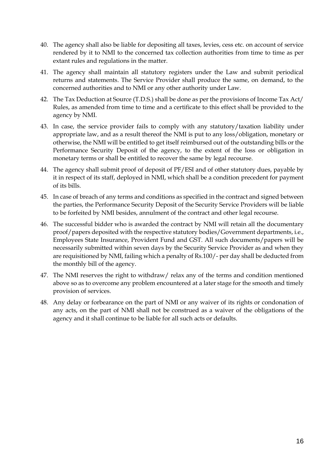- 40. The agency shall also be liable for depositing all taxes, levies, cess etc. on account of service rendered by it to NMI to the concerned tax collection authorities from time to time as per extant rules and regulations in the matter.
- 41. The agency shall maintain all statutory registers under the Law and submit periodical returns and statements. The Service Provider shall produce the same, on demand, to the concerned authorities and to NMI or any other authority under Law.
- 42. The Tax Deduction at Source (T.D.S.) shall be done as per the provisions of Income Tax Act/ Rules, as amended from time to time and a certificate to this effect shall be provided to the agency by NMI.
- 43. In case, the service provider fails to comply with any statutory/taxation liability under appropriate law, and as a result thereof the NMI is put to any loss/obligation, monetary or otherwise, the NMI will be entitled to get itself reimbursed out of the outstanding bills or the Performance Security Deposit of the agency, to the extent of the loss or obligation in monetary terms or shall be entitled to recover the same by legal recourse.
- 44. The agency shall submit proof of deposit of PF/ESI and of other statutory dues, payable by it in respect of its staff, deployed in NMI, which shall be a condition precedent for payment of its bills.
- 45. In case of breach of any terms and conditions as specified in the contract and signed between the parties, the Performance Security Deposit of the Security Service Providers will be liable to be forfeited by NMI besides, annulment of the contract and other legal recourse.
- 46. The successful bidder who is awarded the contract by NMI will retain all the documentary proof/papers deposited with the respective statutory bodies/Government departments, i.e., Employees State Insurance, Provident Fund and GST. All such documents/papers will be necessarily submitted within seven days by the Security Service Provider as and when they are requisitioned by NMI, failing which a penalty of Rs.100/- per day shall be deducted from the monthly bill of the agency.
- 47. The NMI reserves the right to withdraw/ relax any of the terms and condition mentioned above so as to overcome any problem encountered at a later stage for the smooth and timely provision of services.
- 48. Any delay or forbearance on the part of NMI or any waiver of its rights or condonation of any acts, on the part of NMI shall not be construed as a waiver of the obligations of the agency and it shall continue to be liable for all such acts or defaults.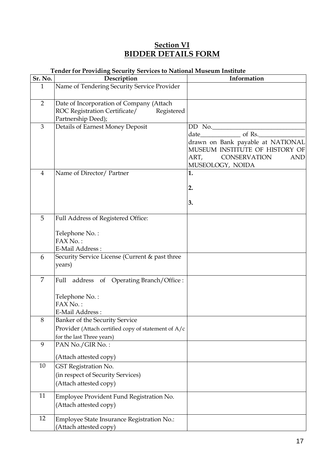### **Section VI BIDDER DETAILS FORM**

#### **Tender for Providing Security Services to National Museum Institute**

| Sr. No.        | chael for from any occurry occurred to rundim made and montane<br>Description                                      | Information                                                                                                                                      |
|----------------|--------------------------------------------------------------------------------------------------------------------|--------------------------------------------------------------------------------------------------------------------------------------------------|
| $\mathbf{1}$   | Name of Tendering Security Service Provider                                                                        |                                                                                                                                                  |
| $\overline{2}$ | Date of Incorporation of Company (Attach<br>ROC Registration Certificate/ Registered<br>Partnership Deed);         |                                                                                                                                                  |
| 3              | Details of Earnest Money Deposit                                                                                   | $DD$ No.<br>drawn on Bank payable at NATIONAL<br>MUSEUM INSTITUTE OF HISTORY OF<br>ART,<br><b>CONSERVATION</b><br><b>AND</b><br>MUSEOLOGY, NOIDA |
| $\overline{4}$ | Name of Director/ Partner                                                                                          | 1.<br>2.<br>3.                                                                                                                                   |
| 5              | Full Address of Registered Office:<br>Telephone No.:<br>FAX No.:<br>E-Mail Address:                                |                                                                                                                                                  |
| 6              | Security Service License (Current & past three<br>years)                                                           |                                                                                                                                                  |
| 7              | Full address of Operating Branch/Office :<br>Telephone No.:<br>FAX No.:<br>E-Mail Address:                         |                                                                                                                                                  |
| 8              | Banker of the Security Service<br>Provider (Attach certified copy of statement of A/c<br>for the last Three years) |                                                                                                                                                  |
| 9              | PAN No./GIR No.:<br>(Attach attested copy)                                                                         |                                                                                                                                                  |
| $10\,$         | GST Registration No.<br>(in respect of Security Services)<br>(Attach attested copy)                                |                                                                                                                                                  |
| 11             | Employee Provident Fund Registration No.<br>(Attach attested copy)                                                 |                                                                                                                                                  |
| 12             | Employee State Insurance Registration No.:<br>(Attach attested copy)                                               |                                                                                                                                                  |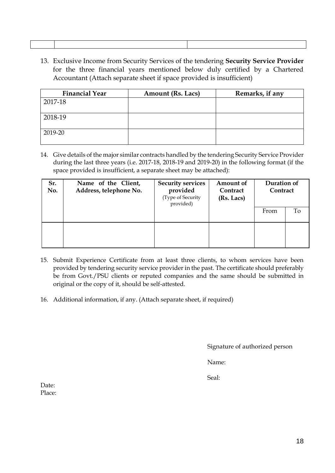13. Exclusive Income from Security Services of the tendering **Security Service Provider**  for the three financial years mentioned below duly certified by a Chartered Accountant (Attach separate sheet if space provided is insufficient)

| <b>Financial Year</b> | <b>Amount (Rs. Lacs)</b> | Remarks, if any |
|-----------------------|--------------------------|-----------------|
| 2017-18               |                          |                 |
| 2018-19               |                          |                 |
| 2019-20               |                          |                 |

14. Give details of the major similar contracts handled by the tendering Security Service Provider during the last three years (i.e. 2017-18, 2018-19 and 2019-20) in the following format (if the space provided is insufficient, a separate sheet may be attached):

| Sr.<br>No. | Name of the Client,<br>Address, telephone No. | <b>Security services</b><br>provided<br>(Type of Security<br>provided) | Amount of<br>Contract<br>(Rs. Lacs) | Duration of<br>Contract |    |
|------------|-----------------------------------------------|------------------------------------------------------------------------|-------------------------------------|-------------------------|----|
|            |                                               |                                                                        |                                     | From                    | Tо |
|            |                                               |                                                                        |                                     |                         |    |

- 15. Submit Experience Certificate from at least three clients, to whom services have been provided by tendering security service provider in the past. The certificate should preferably be from Govt./PSU clients or reputed companies and the same should be submitted in original or the copy of it, should be self-attested.
- 16. Additional information, if any. (Attach separate sheet, if required)

Signature of authorized person

Name:

Seal:

Date: Place: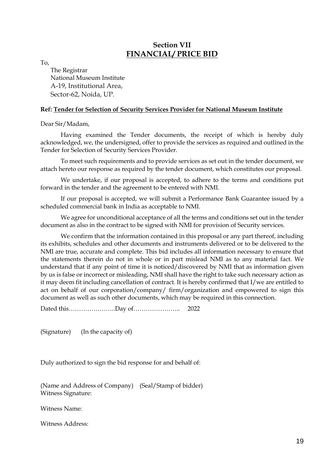### **Section VII FINANCIAL/ PRICE BID**

To,

The Registrar National Museum Institute A-19, Institutional Area, Sector-62, Noida, UP.

#### **Ref: Tender for Selection of Security Services Provider for National Museum Institute**

Dear Sir/Madam,

Having examined the Tender documents, the receipt of which is hereby duly acknowledged, we, the undersigned, offer to provide the services as required and outlined in the Tender for Selection of Security Services Provider.

To meet such requirements and to provide services as set out in the tender document, we attach hereto our response as required by the tender document, which constitutes our proposal.

We undertake, if our proposal is accepted, to adhere to the terms and conditions put forward in the tender and the agreement to be entered with NMI.

If our proposal is accepted, we will submit a Performance Bank Guarantee issued by a scheduled commercial bank in India as acceptable to NMI.

We agree for unconditional acceptance of all the terms and conditions set out in the tender document as also in the contract to be signed with NMI for provision of Security services.

We confirm that the information contained in this proposal or any part thereof, including its exhibits, schedules and other documents and instruments delivered or to be delivered to the NMI are true, accurate and complete. This bid includes all information necessary to ensure that the statements therein do not in whole or in part mislead NMI as to any material fact. We understand that if any point of time it is noticed/discovered by NMI that as information given by us is false or incorrect or misleading, NMI shall have the right to take such necessary action as it may deem fit including cancellation of contract. It is hereby confirmed that I/we are entitled to act on behalf of our corporation/company/ firm/organization and empowered to sign this document as well as such other documents, which may be required in this connection.

Dated this…………………..Day of………………….. 2022

(Signature) (In the capacity of)

Duly authorized to sign the bid response for and behalf of:

(Name and Address of Company) (Seal/Stamp of bidder) Witness Signature:

Witness Name:

Witness Address: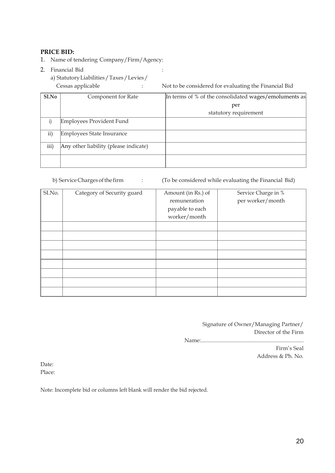#### **PRICE BID:**

- 1. Name of tendering Company/Firm/Agency:
- 2. Financial Bid :
	- a) StatutoryLiabilities/Taxes/Levies/

Cessas applicable : Not to be considered for evaluating the Financial Bid

| SI.No     | Component for Rate                    | In terms of % of the consolidated wages/emoluments as |  |
|-----------|---------------------------------------|-------------------------------------------------------|--|
|           |                                       | per                                                   |  |
|           |                                       | statutory requirement                                 |  |
| i)        | Employees Provident Fund              |                                                       |  |
| $\rm ii)$ | Employees State Insurance             |                                                       |  |
| iii)      | Any other liability (please indicate) |                                                       |  |
|           |                                       |                                                       |  |

b) Service Charges of the firm : (To be considered while evaluating the Financial Bid)

| SI.No. | Category of Security guard | Amount (in Rs.) of<br>remuneration<br>payable to each<br>worker/month | Service Charge in %<br>per worker/month |
|--------|----------------------------|-----------------------------------------------------------------------|-----------------------------------------|
|        |                            |                                                                       |                                         |
|        |                            |                                                                       |                                         |
|        |                            |                                                                       |                                         |
|        |                            |                                                                       |                                         |
|        |                            |                                                                       |                                         |
|        |                            |                                                                       |                                         |
|        |                            |                                                                       |                                         |
|        |                            |                                                                       |                                         |

Signature of Owner/Managing Partner/ Director of the Firm Name:......................................................................... Firm's Seal Address & Ph. No.

Date: Place:

Note: Incomplete bid or columns left blank will render the bid rejected.